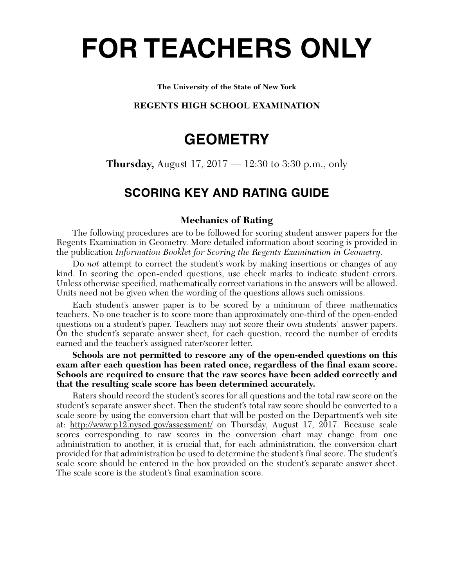# **FOR TEACHERS ONLY**

#### **The University of the State of New York**

# **REGENTS HIGH SCHOOL EXAMINATION**

# **GEOMETRY**

**Thursday,** August 17, 2017 — 12:30 to 3:30 p.m., only

# **SCORING KEY AND RATING GUIDE**

# **Mechanics of Rating**

The following procedures are to be followed for scoring student answer papers for the Regents Examination in Geometry. More detailed information about scoring is provided in the publication *Information Booklet for Scoring the Regents Examination in Geometry*.

Do *not* attempt to correct the student's work by making insertions or changes of any kind. In scoring the open-ended questions, use check marks to indicate student errors. Unless otherwise specified, mathematically correct variations in the answers will be allowed. Units need not be given when the wording of the questions allows such omissions.

Each student's answer paper is to be scored by a minimum of three mathematics teachers. No one teacher is to score more than approximately one-third of the open-ended questions on a student's paper. Teachers may not score their own students' answer papers. On the student's separate answer sheet, for each question, record the number of credits earned and the teacher's assigned rater/scorer letter.

**Schools are not permitted to rescore any of the open-ended questions on this exam after each question has been rated once, regardless of the final exam score. Schools are required to ensure that the raw scores have been added correctly and that the resulting scale score has been determined accurately.**

Raters should record the student's scores for all questions and the total raw score on the student's separate answer sheet. Then the student's total raw score should be converted to a scale score by using the conversion chart that will be posted on the Department's web site at: http://www.p12.nysed.gov/assessment/ on Thursday, August 17, 2017. Because scale scores corresponding to raw scores in the conversion chart may change from one administration to another, it is crucial that, for each administration, the conversion chart provided for that administration be used to determine the student's final score. The student's scale score should be entered in the box provided on the student's separate answer sheet. The scale score is the student's final examination score.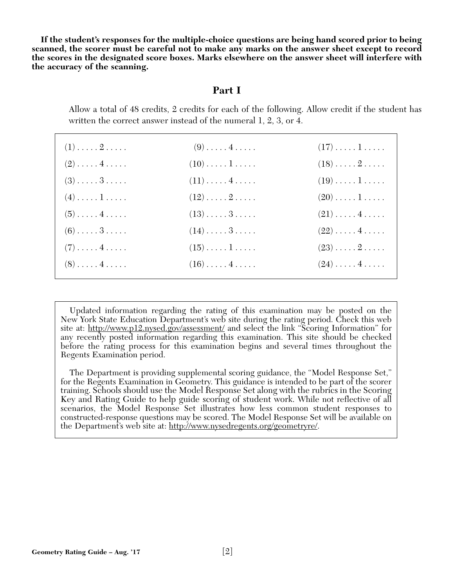**If the student's responses for the multiple-choice questions are being hand scored prior to being scanned, the scorer must be careful not to make any marks on the answer sheet except to record the scores in the designated score boxes. Marks elsewhere on the answer sheet will interfere with the accuracy of the scanning.**

# **Part I**

Allow a total of 48 credits, 2 credits for each of the following. Allow credit if the student has written the correct answer instead of the numeral 1, 2, 3, or 4.

| $(1) \ldots \ldots 2 \ldots$ | $(9) \ldots \ldots 4 \ldots$      | $(17)\ldots\ldots\,1\ldots\ldots$ |
|------------------------------|-----------------------------------|-----------------------------------|
| $(2) \ldots \ldots 4 \ldots$ | $(10) \ldots \ldots 1 \ldots$     | $(18)\ldots 2 \ldots$             |
| $(3)$ 3                      | $(11)\ldots(4\ldots)$             | $(19)\ldots\ldots\,1\ldots\ldots$ |
| $(4) \ldots \ldots 1 \ldots$ | $(12)\ldots \ldots 2 \ldots$      | $(20) \ldots \ldots 1 \ldots$     |
| $(5) \ldots \ldots 4 \ldots$ | $(13)\ldots\ldots 3\ldots$        | $(21)\ldots \ldots 4 \ldots$      |
| $(6)$ 3                      | $(14)\ldots\ldots3\ldots$         | $(22)\ldots\ldots\,4\ldots\ldots$ |
| $(7) \ldots \ldots 4 \ldots$ | $(15)\ldots\ldots\,1\ldots\ldots$ | $(23) \ldots \ldots 2 \ldots$     |
| $(8) \ldots \ldots 4 \ldots$ | $(16)\ldots(4\ldots).$            | $(24) \ldots \ldots 4 \ldots$     |

Updated information regarding the rating of this examination may be posted on the New York State Education Department's web site during the rating period. Check this web site at: http://www.p12.nysed.gov/assessment/ and select the link "Scoring Information" for any recently posted information regarding this examination. This site should be checked before the rating process for this examination begins and several times throughout the Regents Examination period.

The Department is providing supplemental scoring guidance, the "Model Response Set," for the Regents Examination in Geometry. This guidance is intended to be part of the scorer training. Schools should use the Model Response Set along with the rubrics in the Scoring Key and Rating Guide to help guide scoring of student work. While not reflective of all scenarios, the Model Response Set illustrates how less common student responses to constructed-response questions may be scored. The Model Response Set will be available on the Department's web site at: http://www.nysedregents.org/geometryre/.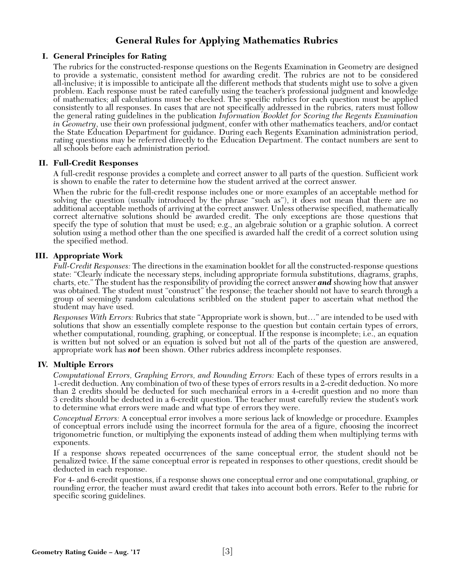# **General Rules for Applying Mathematics Rubrics**

## **I. General Principles for Rating**

The rubrics for the constructed-response questions on the Regents Examination in Geometry are designed to provide a systematic, consistent method for awarding credit. The rubrics are not to be considered all-inclusive; it is impossible to anticipate all the different methods that students might use to solve a given problem. Each response must be rated carefully using the teacher's professional judgment and knowledge of mathematics; all calculations must be checked. The specific rubrics for each question must be applied consistently to all responses. In cases that are not specifically addressed in the rubrics, raters must follow the general rating guidelines in the publication *Information Booklet for Scoring the Regents Examination in Geometry*, use their own professional judgment, confer with other mathematics teachers, and/or contact the State Education Department for guidance. During each Regents Examination administration period, rating questions may be referred directly to the Education Department. The contact numbers are sent to all schools before each administration period.

## **II. Full-Credit Responses**

A full-credit response provides a complete and correct answer to all parts of the question. Sufficient work is shown to enable the rater to determine how the student arrived at the correct answer.

When the rubric for the full-credit response includes one or more examples of an acceptable method for solving the question (usually introduced by the phrase "such as"), it does not mean that there are no additional acceptable methods of arriving at the correct answer. Unless otherwise specified, mathematically correct alternative solutions should be awarded credit. The only exceptions are those questions that specify the type of solution that must be used; e.g., an algebraic solution or a graphic solution. A correct solution using a method other than the one specified is awarded half the credit of a correct solution using the specified method.

## **III. Appropriate Work**

*Full-Credit Responses:* The directions in the examination booklet for all the constructed-response questions state: "Clearly indicate the necessary steps, including appropriate formula substitutions, diagrams, graphs, charts, etc." The student has the responsibility of providing the correct answer *and* showing how that answer was obtained. The student must "construct" the response; the teacher should not have to search through a group of seemingly random calculations scribbled on the student paper to ascertain what method the student may have used.

*Responses With Errors:* Rubrics that state "Appropriate work is shown, but…" are intended to be used with solutions that show an essentially complete response to the question but contain certain types of errors, whether computational, rounding, graphing, or conceptual. If the response is incomplete; i.e., an equation is written but not solved or an equation is solved but not all of the parts of the question are answered, appropriate work has *not* been shown. Other rubrics address incomplete responses.

#### **IV. Multiple Errors**

*Computational Errors, Graphing Errors, and Rounding Errors:* Each of these types of errors results in a 1-credit deduction. Any combination of two of these types of errors results in a 2-credit deduction. No more than 2 credits should be deducted for such mechanical errors in a 4-credit question and no more than 3 credits should be deducted in a 6-credit question. The teacher must carefully review the student's work to determine what errors were made and what type of errors they were.

*Conceptual Errors:* A conceptual error involves a more serious lack of knowledge or procedure. Examples of conceptual errors include using the incorrect formula for the area of a figure, choosing the incorrect trigonometric function, or multiplying the exponents instead of adding them when multiplying terms with exponents.

If a response shows repeated occurrences of the same conceptual error, the student should not be penalized twice. If the same conceptual error is repeated in responses to other questions, credit should be deducted in each response.

For 4- and 6-credit questions, if a response shows one conceptual error and one computational, graphing, or rounding error, the teacher must award credit that takes into account both errors. Refer to the rubric for specific scoring guidelines.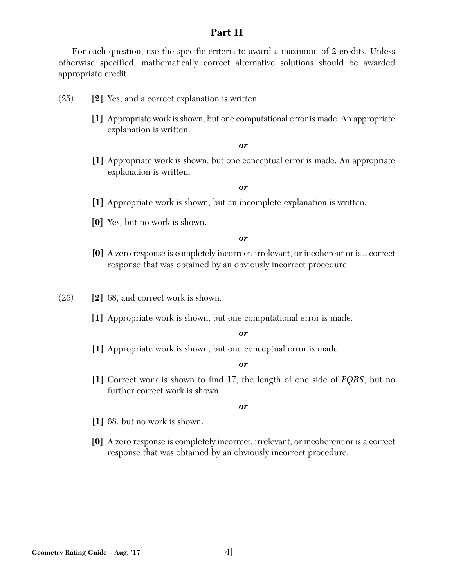# **Part II**

For each question, use the specific criteria to award a maximum of 2 credits. Unless otherwise specified, mathematically correct alternative solutions should be awarded appropriate credit.

- (25) **[2]** Yes, and a correct explanation is written.
	- **[1]** Appropriate work is shown, but one computational error is made. An appropriate explanation is written.

#### *or*

**[1]** Appropriate work is shown, but one conceptual error is made. An appropriate explanation is written.

#### *or*

- **[1]** Appropriate work is shown, but an incomplete explanation is written.
- **[0]** Yes, but no work is shown.

#### *or*

**[0]** A zero response is completely incorrect, irrelevant, or incoherent or is a correct response that was obtained by an obviously incorrect procedure.

(26) **[2]** 68, and correct work is shown.

**[1]** Appropriate work is shown, but one computational error is made.

#### *or*

**[1]** Appropriate work is shown, but one conceptual error is made.

#### *or*

**[1]** Correct work is shown to find 17, the length of one side of *PQRS*, but no further correct work is shown.

- **[1]** 68, but no work is shown.
- **[0]** A zero response is completely incorrect, irrelevant, or incoherent or is a correct response that was obtained by an obviously incorrect procedure.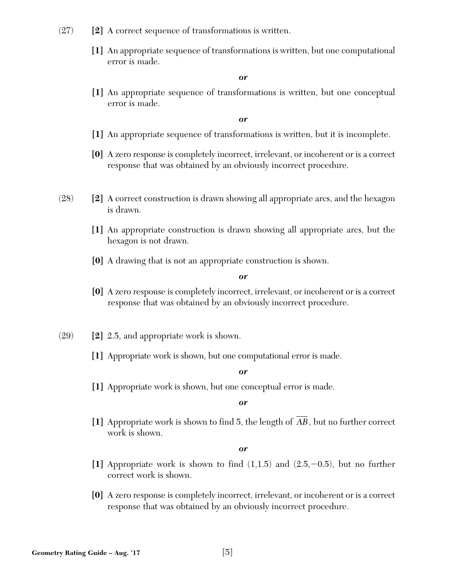- (27) **[2]** A correct sequence of transformations is written.
	- **[1]** An appropriate sequence of transformations is written, but one computational error is made.

**[1]** An appropriate sequence of transformations is written, but one conceptual error is made.

*or*

- **[1]** An appropriate sequence of transformations is written, but it is incomplete.
- **[0]** A zero response is completely incorrect, irrelevant, or incoherent or is a correct response that was obtained by an obviously incorrect procedure.
- (28) **[2]** A correct construction is drawn showing all appropriate arcs, and the hexagon is drawn.
	- **[1]** An appropriate construction is drawn showing all appropriate arcs, but the hexagon is not drawn.
	- **[0]** A drawing that is not an appropriate construction is shown.

*or*

- **[0]** A zero response is completely incorrect, irrelevant, or incoherent or is a correct response that was obtained by an obviously incorrect procedure.
- (29) **[2]** 2.5, and appropriate work is shown.
	- **[1]** Appropriate work is shown, but one computational error is made.

*or*

**[1]** Appropriate work is shown, but one conceptual error is made.

*or*

[1] Appropriate work is shown to find 5, the length of AB , but no further correct work is shown.

- [1] Appropriate work is shown to find  $(1,1.5)$  and  $(2.5,-0.5)$ , but no further correct work is shown.
- **[0]** A zero response is completely incorrect, irrelevant, or incoherent or is a correct response that was obtained by an obviously incorrect procedure.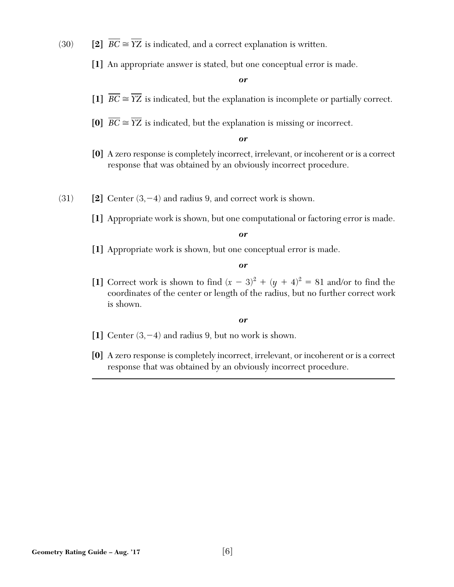- $(30)$  **[2]**  $BC \cong YZ$  is indicated, and a correct explanation is written.
	- **[1]** An appropriate answer is stated, but one conceptual error is made.

- **[1]**  $BC \cong YZ$  is indicated, but the explanation is incomplete or partially correct.
- **[0]**  $BC \cong YZ$  is indicated, but the explanation is missing or incorrect.

*or*

- **[0]** A zero response is completely incorrect, irrelevant, or incoherent or is a correct response that was obtained by an obviously incorrect procedure.
- $(31)$  **[2]** Center  $(3, -4)$  and radius 9, and correct work is shown.
	- **[1]** Appropriate work is shown, but one computational or factoring error is made.

*or*

**[1]** Appropriate work is shown, but one conceptual error is made.

*or*

[1] Correct work is shown to find  $(x - 3)^2 + (y + 4)^2 = 81$  and/or to find the coordinates of the center or length of the radius, but no further correct work is shown.

- **[1]** Center (3,-4) and radius 9, but no work is shown.
- **[0]** A zero response is completely incorrect, irrelevant, or incoherent or is a correct response that was obtained by an obviously incorrect procedure.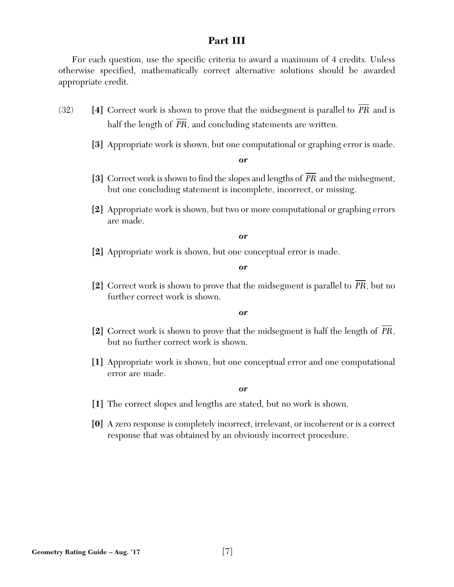# **Part III**

For each question, use the specific criteria to award a maximum of 4 credits. Unless otherwise specified, mathematically correct alternative solutions should be awarded appropriate credit.

- (32) [4] Correct work is shown to prove that the midsegment is parallel to PR and is half the length of *PR*, and concluding statements are written.
	- **[3]** Appropriate work is shown, but one computational or graphing error is made.

*or*

- [3] Correct work is shown to find the slopes and lengths of PR and the midsegment, but one concluding statement is incomplete, incorrect, or missing.
- **[2]** Appropriate work is shown, but two or more computational or graphing errors are made.

*or*

**[2]** Appropriate work is shown, but one conceptual error is made.

*or*

**[2]** Correct work is shown to prove that the midsegment is parallel to PR, but no further correct work is shown.

*or*

- [2] Correct work is shown to prove that the midsegment is half the length of PR, but no further correct work is shown.
- **[1]** Appropriate work is shown, but one conceptual error and one computational error are made.

- **[1]** The correct slopes and lengths are stated, but no work is shown.
- **[0]** A zero response is completely incorrect, irrelevant, or incoherent or is a correct response that was obtained by an obviously incorrect procedure.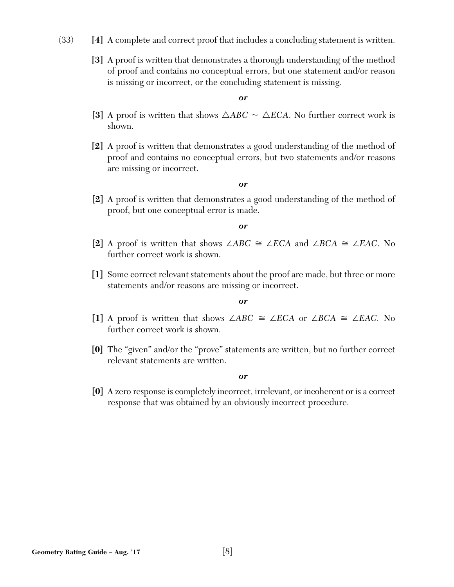- (33) **[4]** A complete and correct proof that includes a concluding statement is written.
	- **[3]** A proof is written that demonstrates a thorough understanding of the method of proof and contains no conceptual errors, but one statement and/or reason is missing or incorrect, or the concluding statement is missing.

- [3] A proof is written that shows  $\triangle ABC \sim \triangle ECA$ . No further correct work is shown.
- **[2]** A proof is written that demonstrates a good understanding of the method of proof and contains no conceptual errors, but two statements and/or reasons are missing or incorrect.

#### *or*

**[2]** A proof is written that demonstrates a good understanding of the method of proof, but one conceptual error is made.

#### *or*

- **[2]** A proof is written that shows ∠*ABC* ∠*ECA* and ∠*BCA* ∠*EAC*. No further correct work is shown.
- **[1]** Some correct relevant statements about the proof are made, but three or more statements and/or reasons are missing or incorrect.

#### *or*

- **[1]** A proof is written that shows ∠*ABC* ∠*ECA* or ∠*BCA* ∠*EAC.* No further correct work is shown.
- **[0]** The "given" and/or the "prove" statements are written, but no further correct relevant statements are written.

*or*

**[0]** A zero response is completely incorrect, irrelevant, or incoherent or is a correct response that was obtained by an obviously incorrect procedure.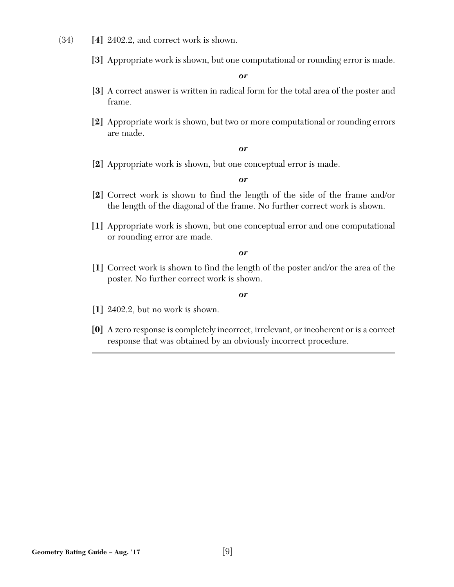- (34) **[4]** 2402.2, and correct work is shown.
	- **[3]** Appropriate work is shown, but one computational or rounding error is made.

- **[3]** A correct answer is written in radical form for the total area of the poster and frame.
- **[2]** Appropriate work is shown, but two or more computational or rounding errors are made.

#### *or*

**[2]** Appropriate work is shown, but one conceptual error is made.

#### *or*

- **[2]** Correct work is shown to find the length of the side of the frame and/or the length of the diagonal of the frame. No further correct work is shown.
- **[1]** Appropriate work is shown, but one conceptual error and one computational or rounding error are made.

*or*

**[1]** Correct work is shown to find the length of the poster and/or the area of the poster. No further correct work is shown.

- **[1]** 2402.2, but no work is shown.
- **[0]** A zero response is completely incorrect, irrelevant, or incoherent or is a correct response that was obtained by an obviously incorrect procedure.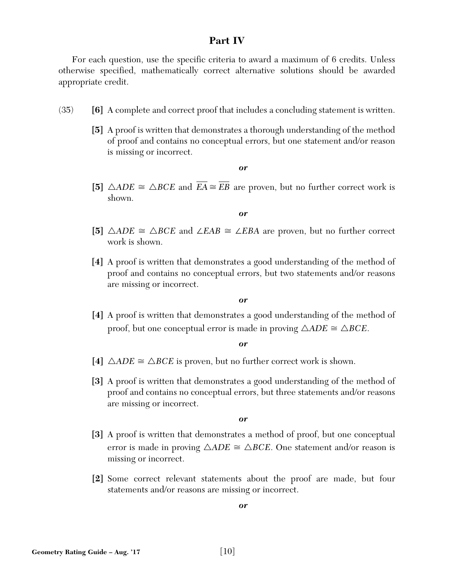# **Part IV**

For each question, use the specific criteria to award a maximum of 6 credits. Unless otherwise specified, mathematically correct alternative solutions should be awarded appropriate credit.

- (35) **[6]** A complete and correct proof that includes a concluding statement is written.
	- **[5]** A proof is written that demonstrates a thorough understanding of the method of proof and contains no conceptual errors, but one statement and/or reason is missing or incorrect.

*or*

**[5]**  $\triangle ADE \cong \triangle BCE$  and  $\overline{EA} \cong \overline{EB}$  are proven, but no further correct work is shown.

*or*

- [5]  $\triangle ADE \cong \triangle BCE$  and  $\angle EAB \cong \angle EBA$  are proven, but no further correct work is shown.
- **[4]** A proof is written that demonstrates a good understanding of the method of proof and contains no conceptual errors, but two statements and/or reasons are missing or incorrect.

*or*

**[4]** A proof is written that demonstrates a good understanding of the method of proof, but one conceptual error is made in proving  $\triangle ADE \cong \triangle BCE$ .

*or*

- [4]  $\triangle ADE \cong \triangle BCE$  is proven, but no further correct work is shown.
- **[3]** A proof is written that demonstrates a good understanding of the method of proof and contains no conceptual errors, but three statements and/or reasons are missing or incorrect.

*or*

- **[3]** A proof is written that demonstrates a method of proof, but one conceptual error is made in proving  $\triangle ADE \cong \triangle BCE$ . One statement and/or reason is missing or incorrect.
- **[2]** Some correct relevant statements about the proof are made, but four statements and/or reasons are missing or incorrect.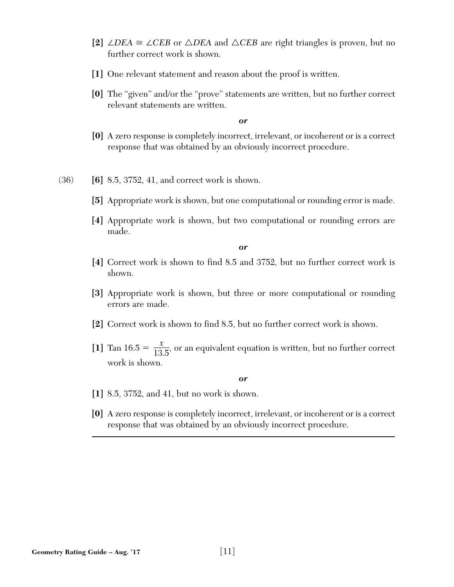- [2] ∠*DEA*  $\cong$  ∠*CEB* or △*DEA* and △*CEB* are right triangles is proven, but no further correct work is shown.
- **[1]** One relevant statement and reason about the proof is written.
- **[0]** The "given" and/or the "prove" statements are written, but no further correct relevant statements are written.

- **[0]** A zero response is completely incorrect, irrelevant, or incoherent or is a correct response that was obtained by an obviously incorrect procedure.
- (36) **[6]** 8.5, 3752, 41, and correct work is shown.
	- **[5]** Appropriate work is shown, but one computational or rounding error is made.
	- **[4]** Appropriate work is shown, but two computational or rounding errors are made.

*or*

- **[4]** Correct work is shown to find 8.5 and 3752, but no further correct work is shown.
- **[3]** Appropriate work is shown, but three or more computational or rounding errors are made.
- **[2]** Correct work is shown to find 8.5, but no further correct work is shown.
- [1] Tan 16.5 =  $\frac{x}{12.5}$ , or an equivalent equation is written, but no further correct work is shown. 13 5.

- **[1]** 8.5, 3752, and 41, but no work is shown.
- **[0]** A zero response is completely incorrect, irrelevant, or incoherent or is a correct response that was obtained by an obviously incorrect procedure.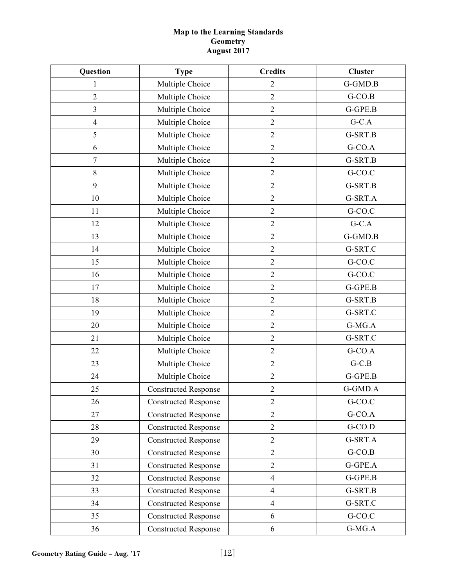# **Map to the Learning Standards Geometry August 2017**

| Question       | <b>Type</b>                 | <b>Credits</b> | <b>Cluster</b> |
|----------------|-----------------------------|----------------|----------------|
| 1              | Multiple Choice             | $\overline{2}$ | G-GMD.B        |
| $\overline{2}$ | Multiple Choice             | $\mathbf{2}$   | $G-CO.B$       |
| 3              | Multiple Choice             | $\mathbf{2}$   | G-GPE.B        |
| $\overline{4}$ | Multiple Choice             | $\sqrt{2}$     | $G-C.A$        |
| 5              | Multiple Choice             | $\mathbf{2}$   | G-SRT.B        |
| 6              | Multiple Choice             | $\mathbf{2}$   | $G-CO.A$       |
| $\overline{7}$ | Multiple Choice             | $\overline{2}$ | G-SRT.B        |
| $8\,$          | Multiple Choice             | $\overline{2}$ | G-CO.C         |
| 9              | Multiple Choice             | $\overline{2}$ | G-SRT.B        |
| 10             | Multiple Choice             | $\mathfrak 2$  | G-SRT.A        |
| 11             | Multiple Choice             | $\sqrt{2}$     | G-CO.C         |
| 12             | Multiple Choice             | $\mathbf{2}$   | $G-C.A$        |
| 13             | Multiple Choice             | $\overline{2}$ | G-GMD.B        |
| 14             | Multiple Choice             | $\overline{2}$ | G-SRT.C        |
| 15             | Multiple Choice             | $\overline{2}$ | G-CO.C         |
| 16             | Multiple Choice             | $\sqrt{2}$     | G-CO.C         |
| 17             | Multiple Choice             | $\overline{2}$ | G-GPE.B        |
| 18             | Multiple Choice             | $\mathfrak 2$  | G-SRT.B        |
| 19             | Multiple Choice             | $\mathbf{2}$   | G-SRT.C        |
| 20             | Multiple Choice             | $\overline{2}$ | $G-MG.A$       |
| 21             | Multiple Choice             | $\overline{2}$ | G-SRT.C        |
| 22             | Multiple Choice             | $\overline{2}$ | $G-CO.A$       |
| 23             | Multiple Choice             | $\sqrt{2}$     | $G-C.B$        |
| 24             | Multiple Choice             | $\sqrt{2}$     | G-GPE.B        |
| 25             | <b>Constructed Response</b> | $\mathfrak 2$  | G-GMD.A        |
| 26             | <b>Constructed Response</b> | $\mathbf{2}$   | G-CO.C         |
| 27             | <b>Constructed Response</b> | $\overline{2}$ | $G-CO.A$       |
| 28             | <b>Constructed Response</b> | $\overline{2}$ | $G-CO.D$       |
| 29             | <b>Constructed Response</b> | $\overline{2}$ | G-SRT.A        |
| 30             | <b>Constructed Response</b> | $\mathbf{2}$   | $G-CO.B$       |
| 31             | <b>Constructed Response</b> | $\overline{2}$ | G-GPE.A        |
| 32             | <b>Constructed Response</b> | $\overline{4}$ | $G-GPE.B$      |
| 33             | <b>Constructed Response</b> | $\overline{4}$ | G-SRT.B        |
| 34             | <b>Constructed Response</b> | $\overline{4}$ | G-SRT.C        |
| 35             | <b>Constructed Response</b> | 6              | G-CO.C         |
| 36             | <b>Constructed Response</b> | 6              | $G-MG.A$       |